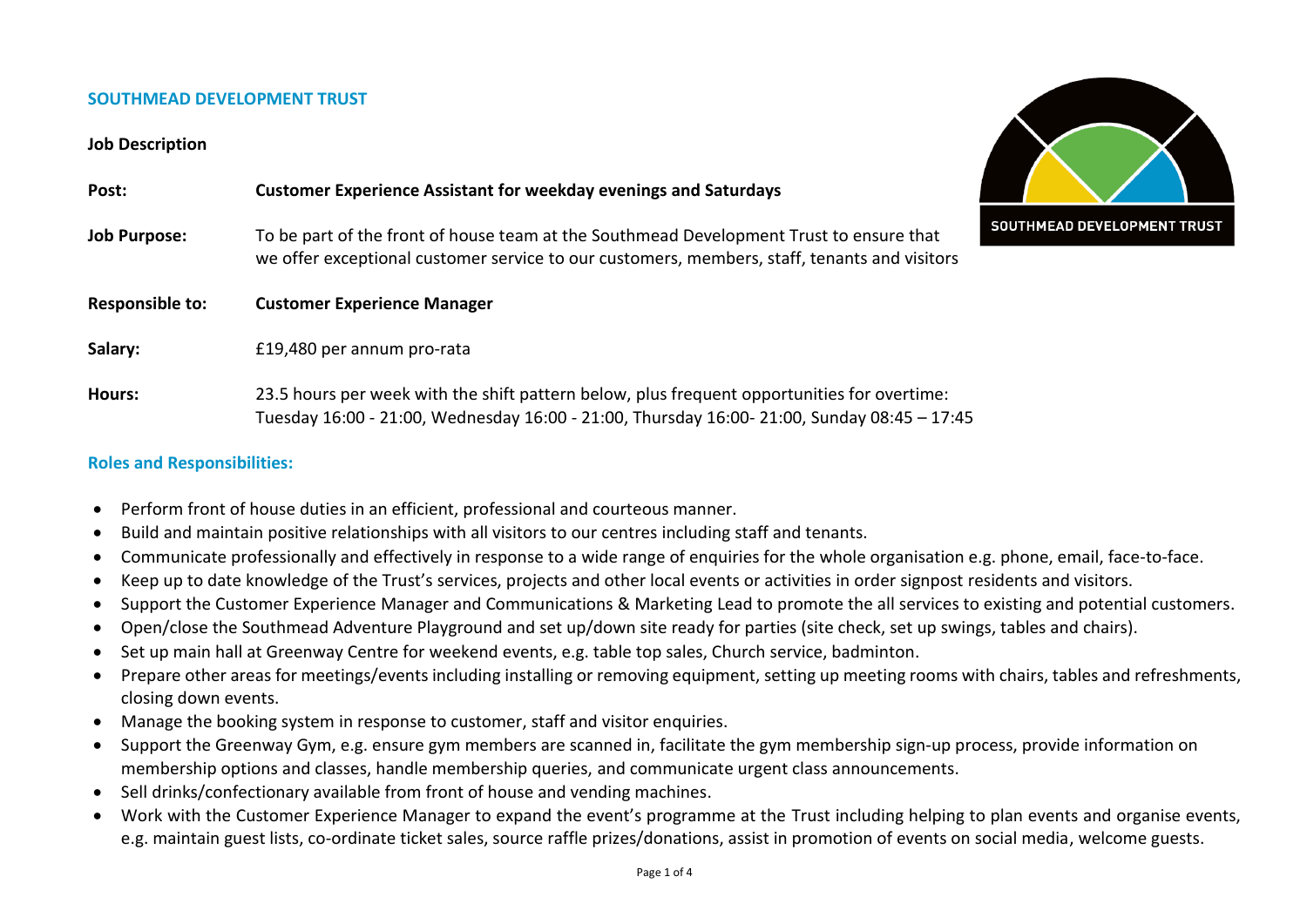## **SOUTHMEAD DEVELOPMENT TRUST**

## **Job Description**

| Post:                  | <b>Customer Experience Assistant for weekday evenings and Saturdays</b>                                                                                                                    |               |
|------------------------|--------------------------------------------------------------------------------------------------------------------------------------------------------------------------------------------|---------------|
| <b>Job Purpose:</b>    | To be part of the front of house team at the Southmead Development Trust to ensure that<br>we offer exceptional customer service to our customers, members, staff, tenants and visitors    | <b>SOUTHM</b> |
| <b>Responsible to:</b> | <b>Customer Experience Manager</b>                                                                                                                                                         |               |
| Salary:                | £19,480 per annum pro-rata                                                                                                                                                                 |               |
| Hours:                 | 23.5 hours per week with the shift pattern below, plus frequent opportunities for overtime:<br>Tuesday 16:00 - 21:00, Wednesday 16:00 - 21:00, Thursday 16:00- 21:00, Sunday 08:45 - 17:45 |               |

## **Roles and Responsibilities:**

- Perform front of house duties in an efficient, professional and courteous manner.
- Build and maintain positive relationships with all visitors to our centres including staff and tenants.
- Communicate professionally and effectively in response to a wide range of enquiries for the whole organisation e.g. phone, email, face-to-face.
- Keep up to date knowledge of the Trust's services, projects and other local events or activities in order signpost residents and visitors.
- Support the Customer Experience Manager and Communications & Marketing Lead to promote the all services to existing and potential customers.
- Open/close the Southmead Adventure Playground and set up/down site ready for parties (site check, set up swings, tables and chairs).
- Set up main hall at Greenway Centre for weekend events, e.g. table top sales, Church service, badminton.
- Prepare other areas for meetings/events including installing or removing equipment, setting up meeting rooms with chairs, tables and refreshments, closing down events.
- Manage the booking system in response to customer, staff and visitor enquiries.
- Support the Greenway Gym, e.g. ensure gym members are scanned in, facilitate the gym membership sign-up process, provide information on membership options and classes, handle membership queries, and communicate urgent class announcements.
- Sell drinks/confectionary available from front of house and vending machines.
- Work with the Customer Experience Manager to expand the event's programme at the Trust including helping to plan events and organise events, e.g. maintain guest lists, co-ordinate ticket sales, source raffle prizes/donations, assist in promotion of events on social media, welcome guests.

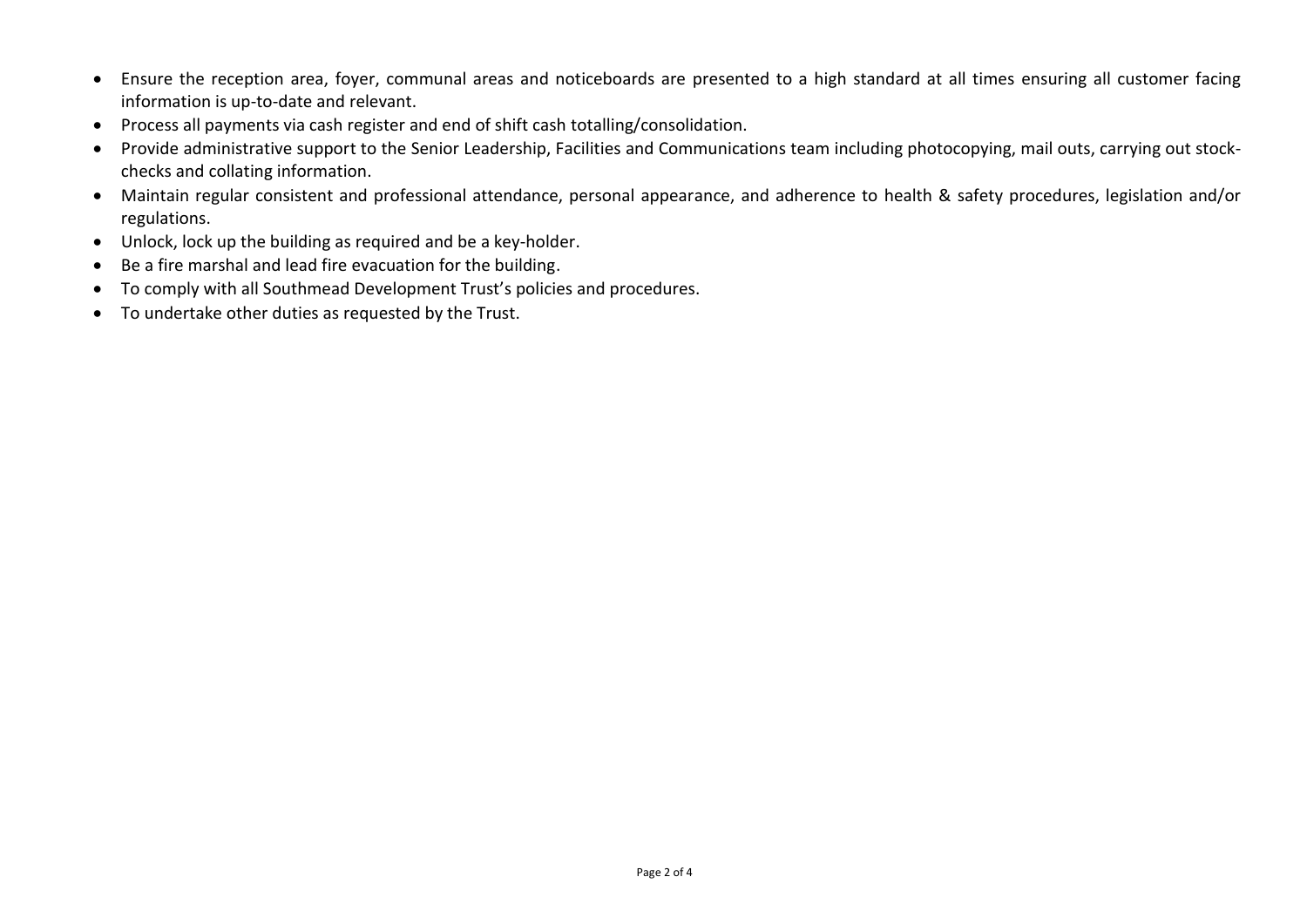- Ensure the reception area, foyer, communal areas and noticeboards are presented to a high standard at all times ensuring all customer facing information is up-to-date and relevant.
- Process all payments via cash register and end of shift cash totalling/consolidation.
- Provide administrative support to the Senior Leadership, Facilities and Communications team including photocopying, mail outs, carrying out stockchecks and collating information.
- Maintain regular consistent and professional attendance, personal appearance, and adherence to health & safety procedures, legislation and/or regulations.
- Unlock, lock up the building as required and be a key-holder.
- Be a fire marshal and lead fire evacuation for the building.
- To comply with all Southmead Development Trust's policies and procedures.
- To undertake other duties as requested by the Trust.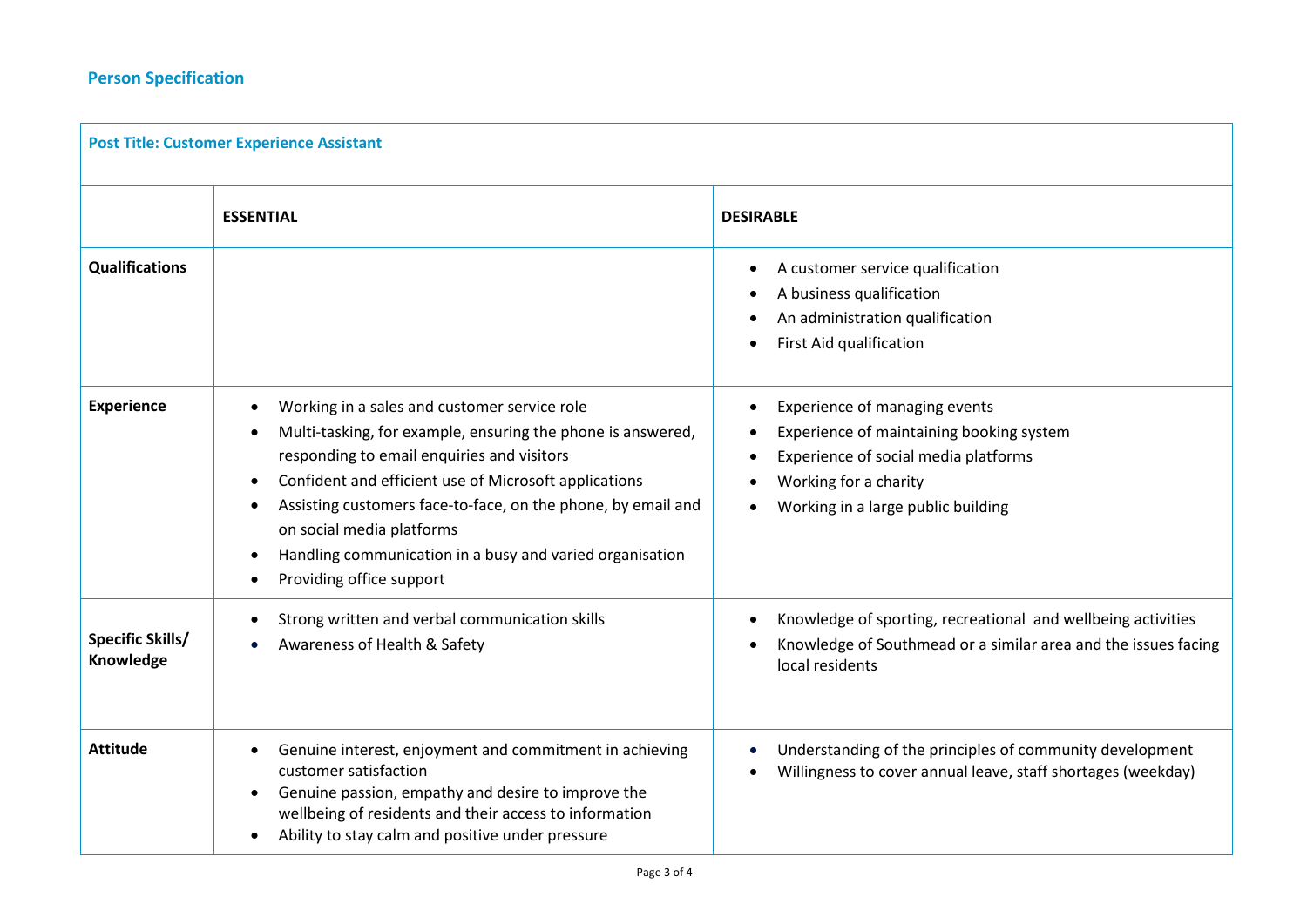| <b>Post Title: Customer Experience Assistant</b> |                                                                                                                                                                                                                                                                                                                                                                                                                                                                                       |                                                                                                                                                                                               |  |  |
|--------------------------------------------------|---------------------------------------------------------------------------------------------------------------------------------------------------------------------------------------------------------------------------------------------------------------------------------------------------------------------------------------------------------------------------------------------------------------------------------------------------------------------------------------|-----------------------------------------------------------------------------------------------------------------------------------------------------------------------------------------------|--|--|
|                                                  | <b>ESSENTIAL</b>                                                                                                                                                                                                                                                                                                                                                                                                                                                                      | <b>DESIRABLE</b>                                                                                                                                                                              |  |  |
| <b>Qualifications</b>                            |                                                                                                                                                                                                                                                                                                                                                                                                                                                                                       | A customer service qualification<br>$\bullet$<br>A business qualification<br>An administration qualification<br>First Aid qualification                                                       |  |  |
| Experience                                       | Working in a sales and customer service role<br>$\bullet$<br>Multi-tasking, for example, ensuring the phone is answered,<br>$\bullet$<br>responding to email enquiries and visitors<br>Confident and efficient use of Microsoft applications<br>$\bullet$<br>Assisting customers face-to-face, on the phone, by email and<br>$\bullet$<br>on social media platforms<br>Handling communication in a busy and varied organisation<br>$\bullet$<br>Providing office support<br>$\bullet$ | Experience of managing events<br>Experience of maintaining booking system<br>Experience of social media platforms<br>$\bullet$<br>Working for a charity<br>Working in a large public building |  |  |
| <b>Specific Skills/</b><br>Knowledge             | Strong written and verbal communication skills<br>$\bullet$<br>Awareness of Health & Safety<br>$\bullet$                                                                                                                                                                                                                                                                                                                                                                              | Knowledge of sporting, recreational and wellbeing activities<br>Knowledge of Southmead or a similar area and the issues facing<br>local residents                                             |  |  |
| <b>Attitude</b>                                  | Genuine interest, enjoyment and commitment in achieving<br>$\bullet$<br>customer satisfaction<br>Genuine passion, empathy and desire to improve the<br>wellbeing of residents and their access to information<br>Ability to stay calm and positive under pressure<br>$\bullet$                                                                                                                                                                                                        | Understanding of the principles of community development<br>Willingness to cover annual leave, staff shortages (weekday)                                                                      |  |  |